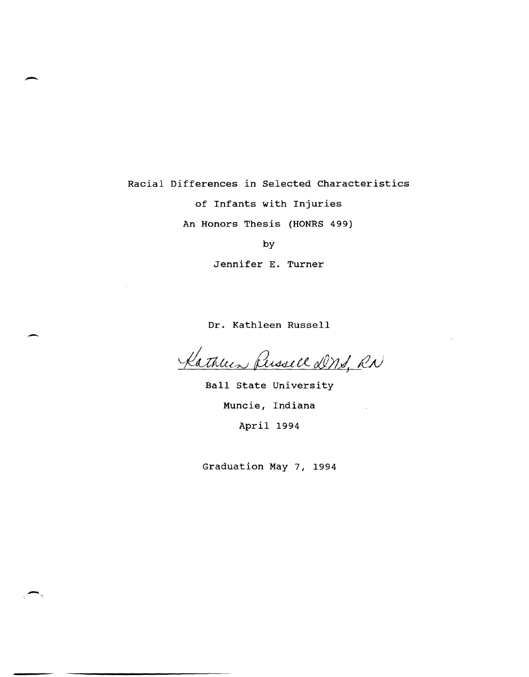# Racial Differences in Selected Characteristics of Infants with Injuries An Honors Thesis (HONRS 499)

-

-

by

Jennifer E. Turner

Dr. Kathleen Russell

Kathleen Perssell DNS, RN

Ball state University Muncie, Indiana April 1994

Graduation May 7, 1994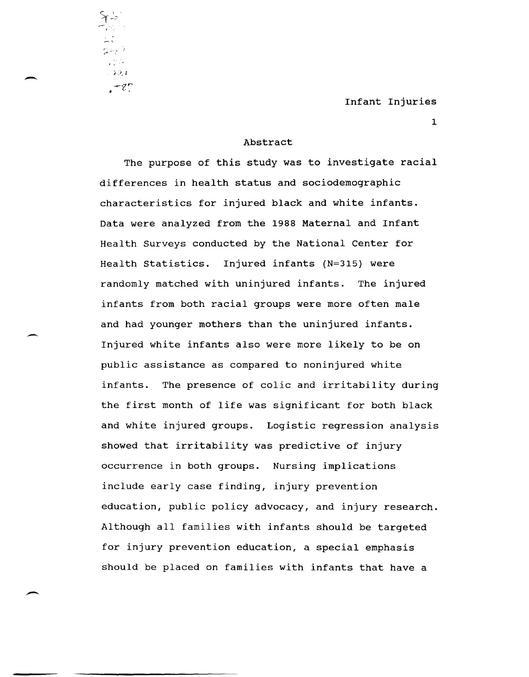1

Abstract

-,'.

 $72.1$ 

 $. \pm e \tau$ 

الأرابوت 1204

-

The purpose of this study was to investigate racial differences in health status and sociodemographic characteristics for injured black and white infants. Data were analyzed from the 1988 Maternal and Infant Health Surveys conducted by the National center for Health statistics. Injured infants (N=315) were randomly matched with uninjured infants. The injured infants from both racial groups were more often male and had younger mothers than the uninjured infants.<br>Injured white infants also were more likely to be on public assistance as compared to noninjured white infants. The presence of colic and irritability during the first month of life was significant for both black and white injured groups. Logistic regression analysis showed that irritability was predictive of injury occurrence in both groups. Nursing implications include early case finding, injury prevention education, public policy advocacy, and injury research. Although all families with infants should be targeted for injury prevention education, a special emphasis should be placed on families with infants that have a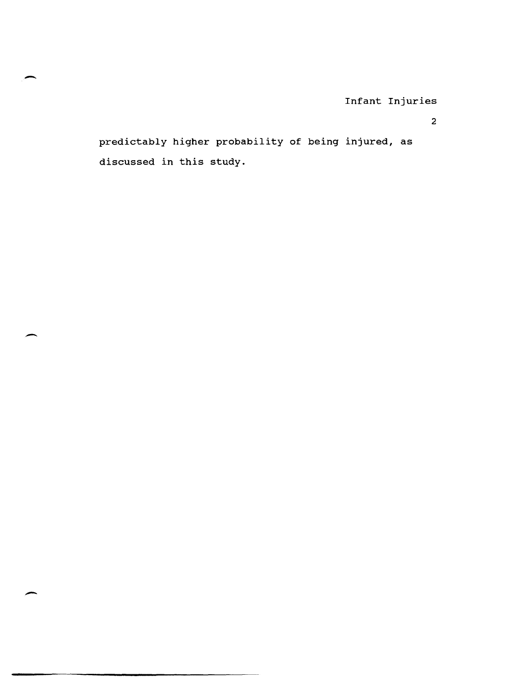2

predictably higher probability of being injured, as discussed in this study.

-

-

-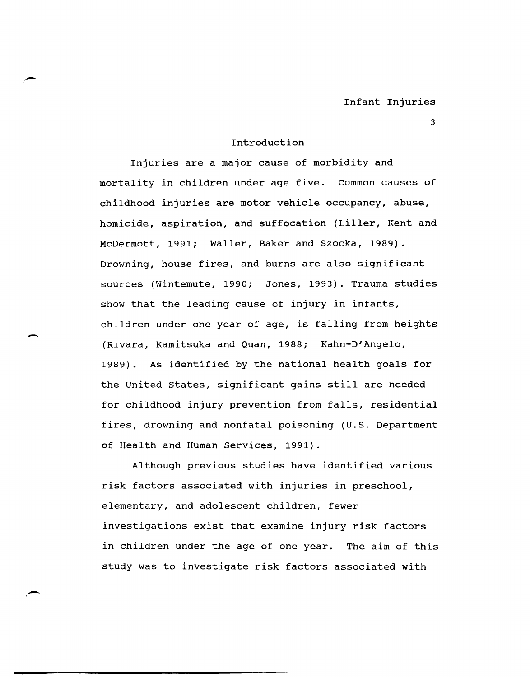#### Introduction

-

-

Injuries are a major cause of morbidity and mortality in children under age five. Common causes of childhood injuries are motor vehicle occupancy, abuse, homicide, aspiration, and suffocation (Liller, Kent and McDermott, 1991; Waller, Baker and Szocka, 1989). Drowning, house fires, and burns are also significant sources (Wintemute, 1990; Jones, 1993). Trauma studies show that the leading cause of injury in infants, children under one year of age, is falling from heights (Rivara, Kamitsuka and Quan, 1988; Kahn-D'Angelo, 1989). As identified by the national health goals for the united states, significant gains still are needed for childhood injury prevention from falls, residential fires, drowning and nonfatal poisoning (u.s. Department of Health and Human Services, 1991).

Although previous studies have identified various risk factors associated with injuries in preschool, elementary, and adolescent children, fewer investigations exist that examine injury risk factors in children under the age of one year. The aim of this study was to investigate risk factors associated with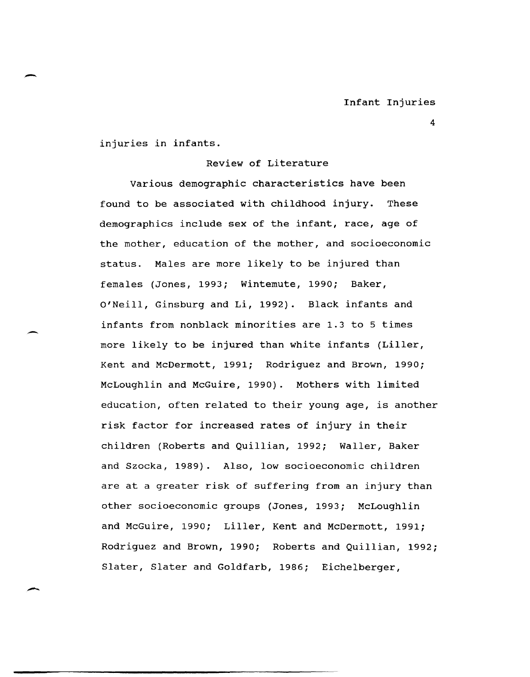injuries in infants.

# Review of Literature

Various demographic characteristics have been found to be associated with childhood injury. These demographics include sex of the infant, race, age of the mother, education of the mother, and socioeconomic status. Males are more likely to be injured than females (Jones, 1993; Wintemute, 1990; Baker, o'Neill, Ginsburg and Li, 1992). Black infants and infants from nonblack minorities are 1.3 to 5 times more likely to be injured than white infants (Liller, Kent and McDermott, 1991; Rodriguez and Brown, 1990; McLoughlin and McGuire, 1990). Mothers with limited education, often related to their young age, is another risk factor for increased rates of injury in their children (Roberts and Quillian, 1992; Waller, Baker and Szocka, 1989). Also, low socioeconomic children are at a greater risk of suffering from an injury than other socioeconomic groups (Jones, 1993; McLoughlin and McGuire, 1990; Liller, Kent and McDermott, 1991; Rodriguez and Brown, 1990; Roberts and Quillian, 1992; Slater, Slater and Goldfarb, 1986; Eichelberger,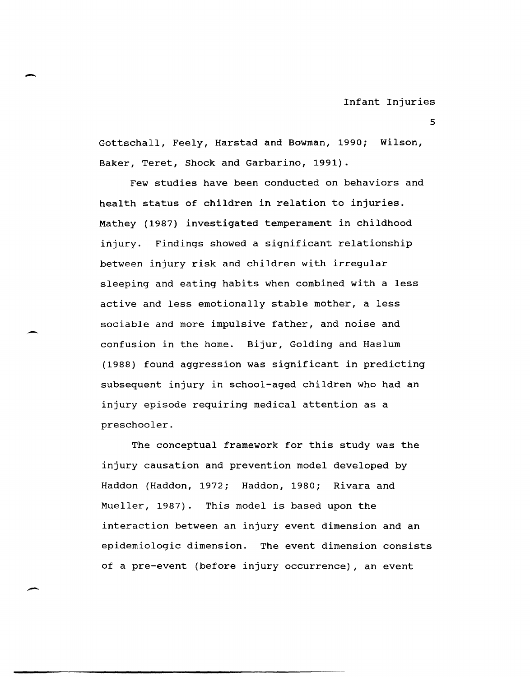Gottschall, Feely, Harstad and Bowman, 1990; Wilson, Baker, Teret, Shock and Garbarino, 1991).

-

Few studies have been conducted on behaviors and health status of children in relation to injuries. Mathey (1987) investigated temperament in childhood injury. Findings showed a significant relationship between injury risk and children with irregular sleeping and eating habits when combined with a less active and less emotionally stable mother, a less sociable and more impulsive father, and noise and confusion in the home. Bijur, Golding and Haslum (1988) found aggression was significant in predicting subsequent injury in school-aged children who had an injury episode requiring medical attention as a preschooler.

The conceptual framework for this study was the injury causation and prevention model developed by Haddon (Haddon, 1972; Haddon, 1980; Rivara and Mueller, 1987). This model is based upon the interaction between an injury event dimension and an epidemiologic dimension. The event dimension consists of a pre-event (before injury occurrence), an event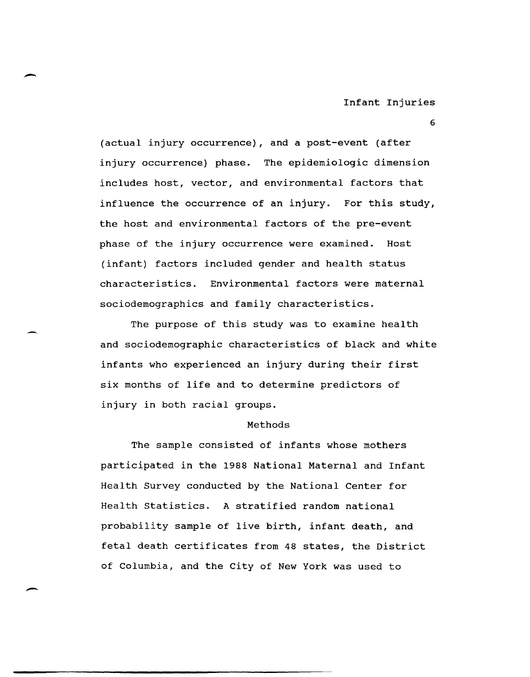6

(actual injury occurrence), and a post-event (after injury occurrence) phase. The epidemiologic dimension includes host, vector, and environmental factors that influence the occurrence of an injury. For this study, the host and environmental factors of the pre-event phase of the injury occurrence were examined. Host (infant) factors included gender and health status characteristics. Environmental factors were maternal sociodemographics and family characteristics.

The purpose of this study was to examine health and sociodemographic characteristics of black and white infants who experienced an injury during their first six months of life and to determine predictors of injury in both racial groups.

# Methods

The sample consisted of infants whose mothers participated in the 1988 National Maternal and Infant Health Survey conducted by the National Center for Health statistics. A stratified random national probability sample of live birth, infant death, and fetal death certificates from 48 states, the District of Columbia, and the City of New York was used to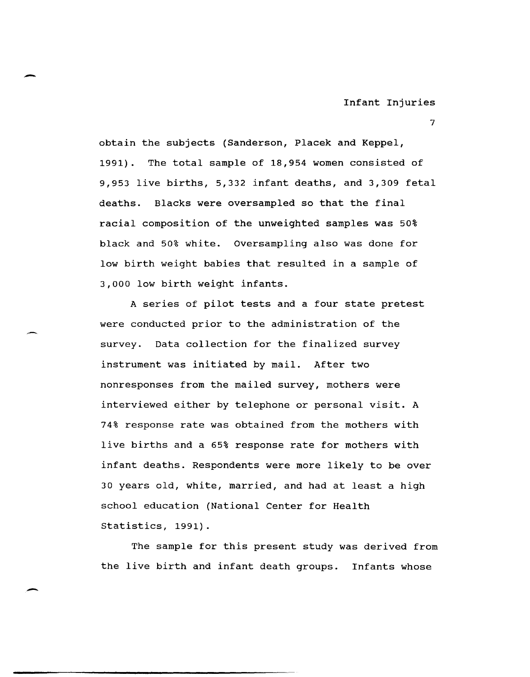7

obtain the subjects (Sanderson, Placek and Keppel, 1991). The total sample of 18,954 women consisted of 9,953 live births, 5,332 infant deaths, and 3,309 fetal deaths. Blacks were oversampled so that the final racial composition of the unweighted samples was 50% black and 50% white. Oversampling also was done for low birth weight babies that resulted in a sample of 3,000 low birth weight infants.

A series of pilot tests and a four state pretest were conducted prior to the administration of the survey. Data collection for the finalized survey instrument was initiated by mail. After two nonresponses from the mailed survey, mothers were interviewed either by telephone or personal visit. A 74% response rate was obtained from the mothers with live births and a 65% response rate for mothers with infant deaths. Respondents were more likely to be over 30 years old, white, married, and had at least a high school education (National Center for Health Statistics, 1991).

The sample for this present study was derived from the live birth and infant death groups. Infants whose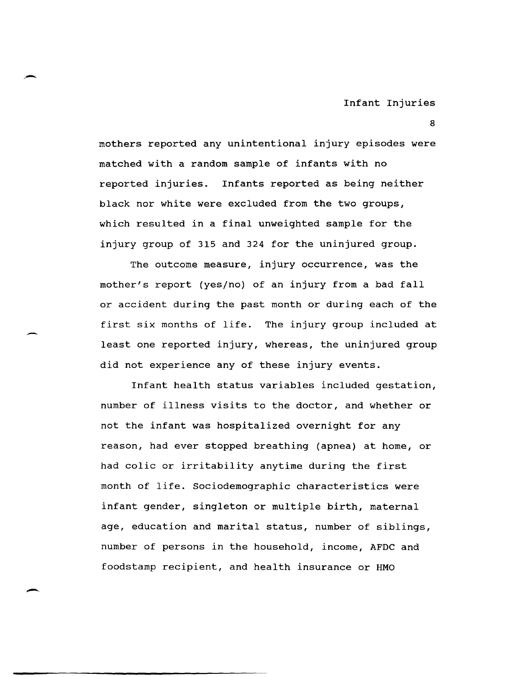8

mothers reported any unintentional injury episodes were matched with a random sample of infants with no reported injuries. Infants reported as being neither black nor white were excluded from the two groups, which resulted in a final unweighted sample for the injury group of 315 and 324 for the uninjured group.

The outcome measure, injury occurrence, was the mother'S report (yes/no) of an injury from a bad fall or accident during the past month or during each of the first six months of life. The injury group included at least one reported injury, whereas, the uninjured group did not experience any of these injury events.

Infant health status variables included gestation, number of illness visits to the doctor, and whether or not the infant was hospitalized overnight for any reason, had ever stopped breathing (apnea) at home, or had colic or irritability anytime during the first month of life. Sociodemographic characteristics were infant gender, singleton or multiple birth, maternal age, education and marital status, number of siblings, number of persons in the household, income, AFDC and foodstamp recipient, and health insurance or HMO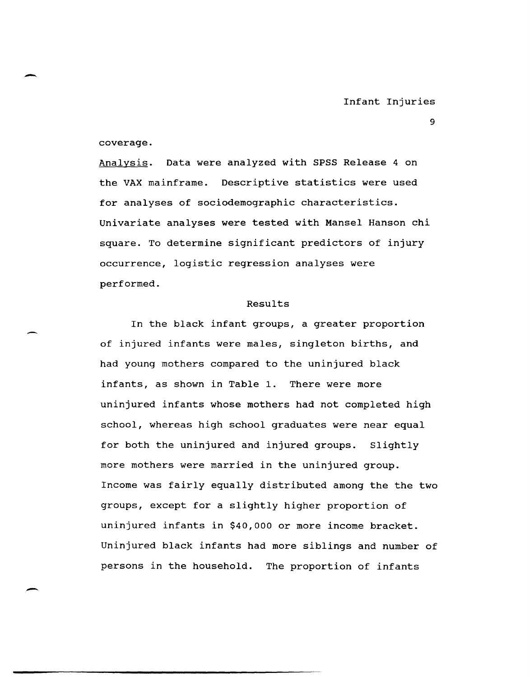coverage.

Analysis. Data were analyzed with SPSS Release 4 on the VAX mainframe. Descriptive statistics were used for analyses of sociodemographic characteristics. Univariate analyses were tested with Mansel Hanson chi square. To determine significant predictors of injury occurrence, logistic regression analyses were performed.

#### Results

In the black infant groups, a greater proportion of injured infants were males, singleton births, and had young mothers compared to the uninjured black infants, as shown in Table 1. There were more uninjured infants whose mothers had not completed high school, whereas high school graduates were near equal for both the uninjured and injured groups. Slightly more mothers were married in the uninjured group. Income was fairly equally distributed among the the two groups, except for a slightly higher proportion of uninjured infants in \$40,000 or more income bracket. Uninjured black infants had more siblings and number of persons in the household. The proportion of infants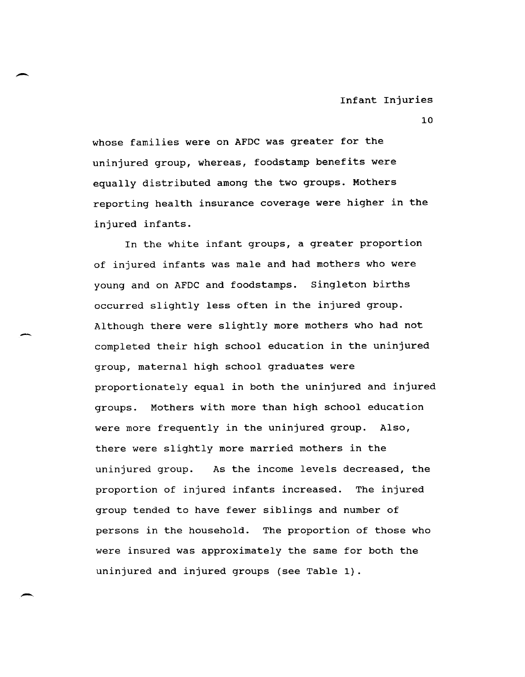whose families were on AFDC was greater for the uninjured group, whereas, foodstamp benefits were equally distributed among the two groups. Mothers reporting health insurance coverage were higher in the injured infants.

In the white infant groups, a greater proportion of injured infants was male and had mothers who were young and on AFDC and foodstamps. Singleton births occurred slightly less often in the injured group. Although there were slightly more mothers who had not completed their high school education in the uninjured group, maternal high school graduates were proportionately equal in both the uninjured and injured groups. Mothers with more than high school education were more frequently in the uninjured group. Also, there were slightly more married mothers in the uninjured group. As the income levels decreased, the proportion of injured infants increased. The injured group tended to have fewer siblings and number of persons in the household. The proportion of those who were insured was approximately the same for both the uninjured and injured groups (see Table 1).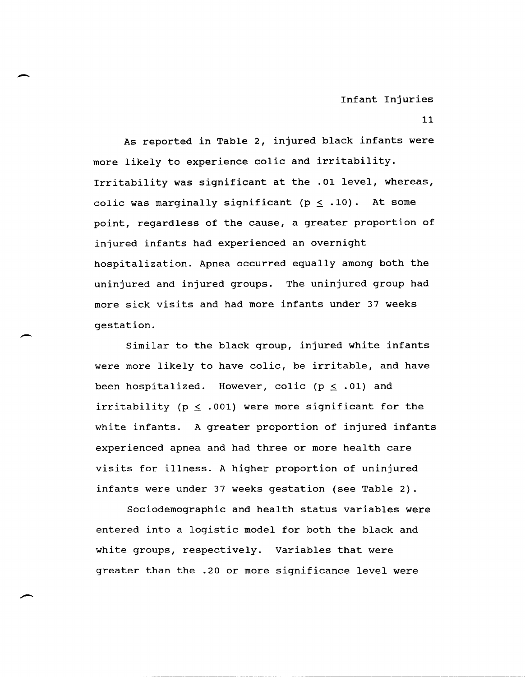As reported in Table 2, injured black infants were more likely to experience colic and irritability. Irritability was significant at the .01 level, whereas, colic was marginally significant ( $p \leq .10$ ). At some point, regardless of the cause, a greater proportion of injured infants had experienced an overnight hospitalization. Apnea occurred equally among both the uninjured and injured groups. The uninjured group had more sick visits and had more infants under 37 weeks gestation.

Similar to the black group, injured white infants were more likely to have colic, be irritable, and have been hospitalized. However, colic ( $p \le .01$ ) and irritability ( $p \leq .001$ ) were more significant for the white infants. A greater proportion of injured infants experienced apnea and had three or more health care visits for illness. A higher proportion of uninjured infants were under 37 weeks gestation (see Table 2).

Sociodemographic and health status variables were entered into a logistic model for both the black and white groups, respectively. Variables that were greater than the .20 or more significance level were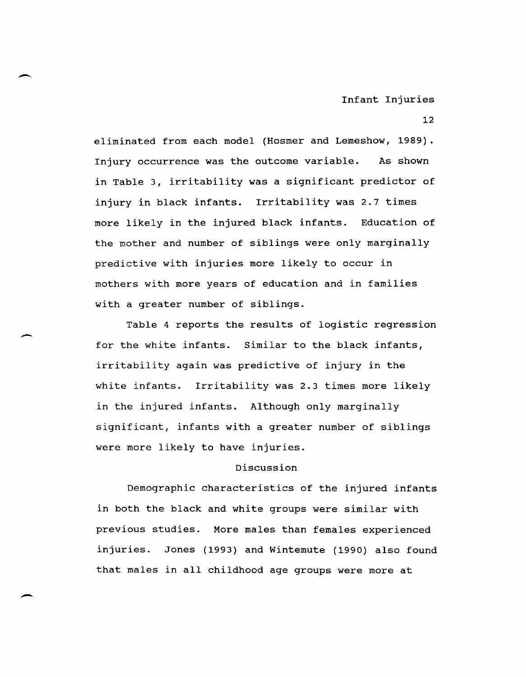eliminated from each model (Hosmer and Lemeshow, 1989). Injury occurrence was the outcome variable. As shown in Table 3, irritability was a significant predictor of injury in black infants. Irritability was 2.7 times more likely in the injured black infants. Education of the mother and number of siblings were only marginally predictive with injuries more likely to occur in mothers with more years of education and in families with a greater number of siblings.

Table 4 reports the results of logistic regression for the white infants. Similar to the black infants, irritability again was predictive of injury in the white infants. Irritability was 2.3 times more likely in the injured infants. Although only marginally significant, infants with a greater number of siblings were more likely to have injuries.

### Discussion

Demographic characteristics of the injured infants in both the black and white groups were similar with previous studies. More males than females experienced injuries. Jones (1993) and Wintemute (1990) also found that males in all childhood age groups were more at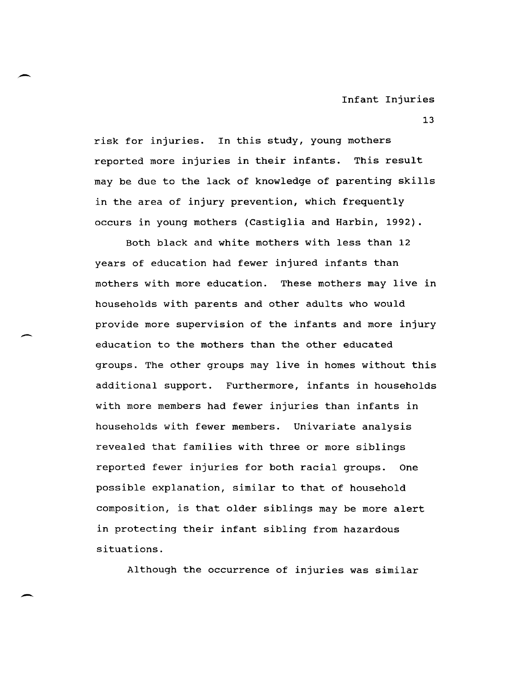13

risk for injuries. In this study, young mothers reported more injuries in their infants. This result may be due to the lack of knowledge of parenting skills in the area of injury prevention, which frequently occurs in young mothers (Castiglia and Harbin, 1992).

Both black and white mothers with less than 12 years of education had fewer injured infants than mothers with more education. These mothers may live in households with parents and other adults who would provide more supervision of the infants and more injury education to the mothers than the other educated groups. The other groups may live in homes without this additional support. Furthermore, infants in households with more members had fewer injuries than infants in households with fewer members. Univariate analysis revealed that families with three or more siblings reported fewer injuries for both racial groups. One possible explanation, similar to that of household composition, is that older siblings may be more alert in protecting their infant sibling from hazardous situations.

Although the occurrence of injuries was similar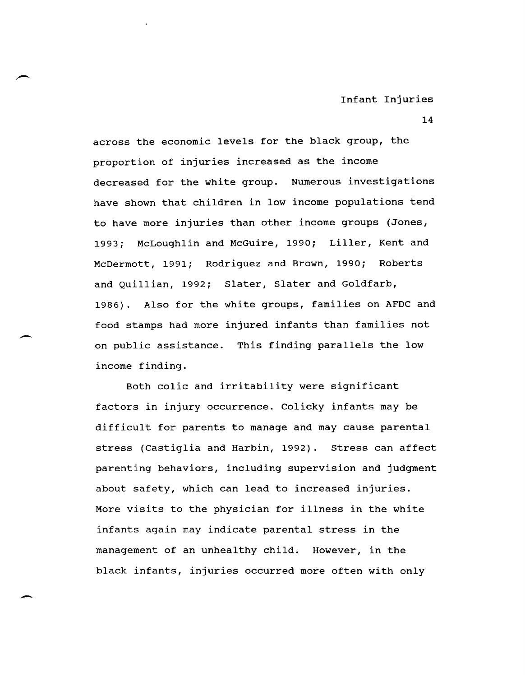across the economic levels for the black group, the proportion of injuries increased as the income decreased for the white group. Numerous investigations have shown that children in low income populations tend to have more injuries than other income groups (Jones, 1993; McLoughlin and McGuire, 1990; Liller, Kent and McDermott, 1991; Rodriguez and Brown, 1990; Roberts and Quillian, 1992; Slater, Slater and Goldfarb, 1986). Also for the white groups, families on AFDC and food stamps had more injured infants than families not on public assistance. This finding parallels the low income finding.

Both colic and irritability were significant factors in injury occurrence. Colicky infants may be difficult for parents to manage and may cause parental stress (Castiglia and Harbin, 1992). Stress can affect parenting behaviors, including supervision and judgment about safety, which can lead to increased injuries. More visits to the physician for illness in the white infants again may indicate parental stress in the management of an unhealthy child. However, in the black infants, injuries occurred more often with only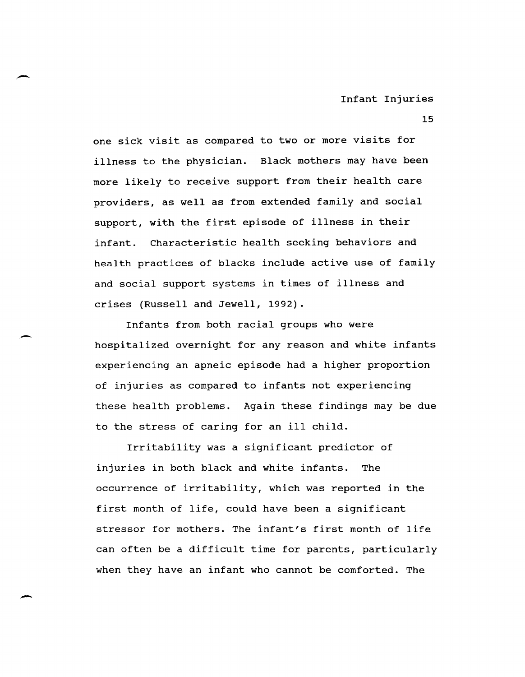15

one sick visit as compared to two or more visits for illness to the physician. Black mothers may have been more likely to receive support from their health care providers, as well as from extended family and social support, with the first episode of illness in their infant. Characteristic health seeking behaviors and health practices of blacks include active use of family and social support systems in times of illness and crises (Russell and Jewell, 1992).

Infants from both racial groups who were hospitalized overnight for any reason and white infants experiencing an apneic episode had a higher proportion of injuries as compared to infants not experiencing these health problems. Again these findings may be due to the stress of caring for an ill child.

Irritability was a significant predictor of injuries in both black and white infants. The occurrence of irritability, which was reported in the first month of life, could have been a significant stressor for mothers. The infant's first month of life can often be a difficult time for parents, particularly when they have an infant who cannot be comforted. The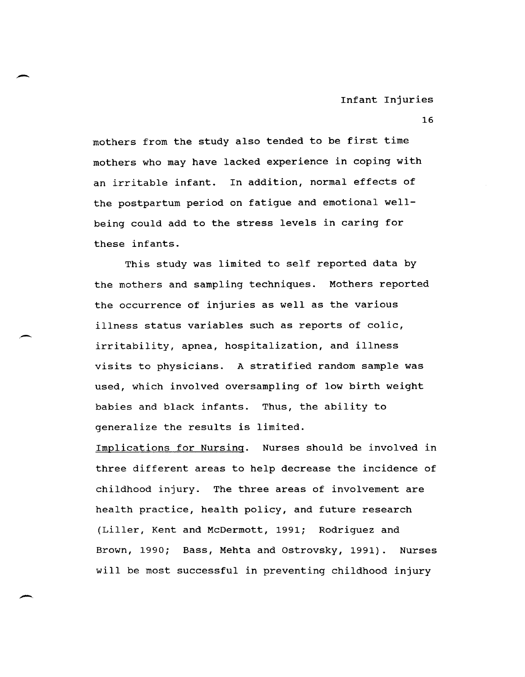mothers from the study also tended to be first time mothers who may have lacked experience in coping with an irritable infant. In addition, normal effects of the postpartum period on fatigue and emotional wellbeing could add to the stress levels in caring for these infants.

 $\overline{\phantom{a}}$ 

 $\overline{\phantom{0}}$ 

This study was limited to self reported data by the mothers and sampling techniques. Mothers reported the occurrence of injuries as well as the various illness status variables such as reports of colic, irritability, apnea, hospitalization, and illness visits to physicians. A stratified random sample was used, which involved oversampling of low birth weight babies and black infants. Thus, the ability to generalize the results is limited.

Implications for Nursing. Nurses should be involved in three different areas to help decrease the incidence of childhood injury. The three areas of involvement are health practice, health policy, and future research (Liller, Kent and McDermott, 1991; Rodriguez and Brown, 1990; Bass, Mehta and Ostrovsky, 1991). Nurses will be most successful in preventing childhood injury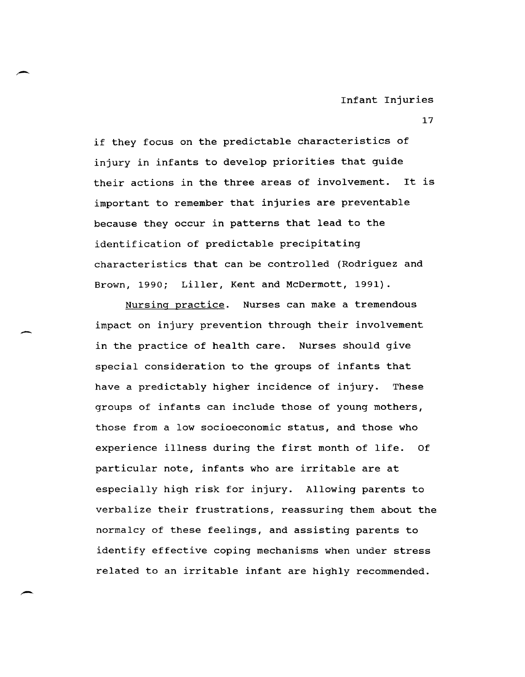if they focus on the predictable characteristics of injury in infants to develop priorities that guide their actions in the three areas of involvement. It is important to remember that injuries are preventable because they occur in patterns that lead to the identification of predictable precipitating characteristics that can be controlled (Rodriguez and Brown, 1990; Liller, Kent and McDermott, 1991).

Nursing practice. Nurses can make a tremendous impact on injury prevention through their involvement in the practice of health care. Nurses should give special consideration to the groups of infants that have a predictably higher incidence of injury. These groups of infants can include those of young mothers, those from a low socioeconomic status, and those who experience illness during the first month of life. Of particular note, infants who are irritable are at especially high risk for injury. Allowing parents to verbalize their frustrations, reassuring them about the normalcy of these feelings, and assisting parents to identify effective coping mechanisms when under stress related to an irritable infant are highly recommended.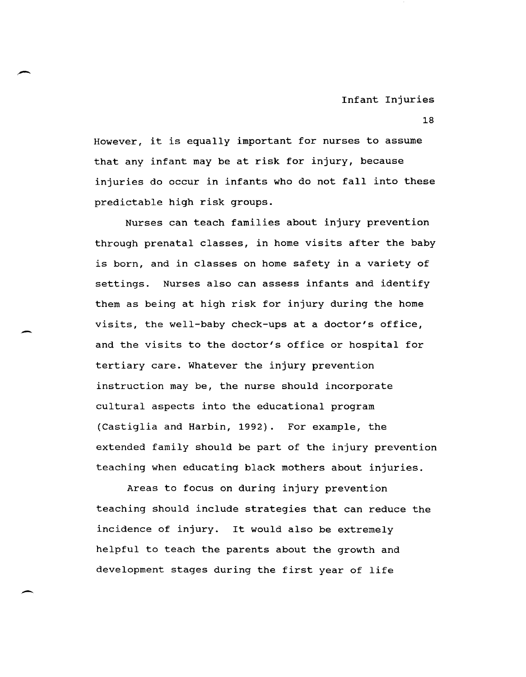However, it is equally important for nurses to assume that any infant may be at risk for injury, because injuries do occur in infants who do not fall into these predictable high risk groups.

Nurses can teach families about injury prevention through prenatal classes, in home visits after the baby is born, and in classes on home safety in a variety of settings. Nurses also can assess infants and identify them as being at high risk for injury during the home visits, the well-baby check-ups at a doctor's office, and the visits to the doctor's office or hospital for tertiary care. Whatever the injury prevention instruction may be, the nurse should incorporate cultural aspects into the educational program (Castiglia and Harbin, 1992). For example, the extended family should be part of the injury prevention teaching when educating black mothers about injuries.

Areas to focus on during injury prevention teaching should include strategies that can reduce the incidence of injury. It would also be extremely helpful to teach the parents about the growth and development stages during the first year of life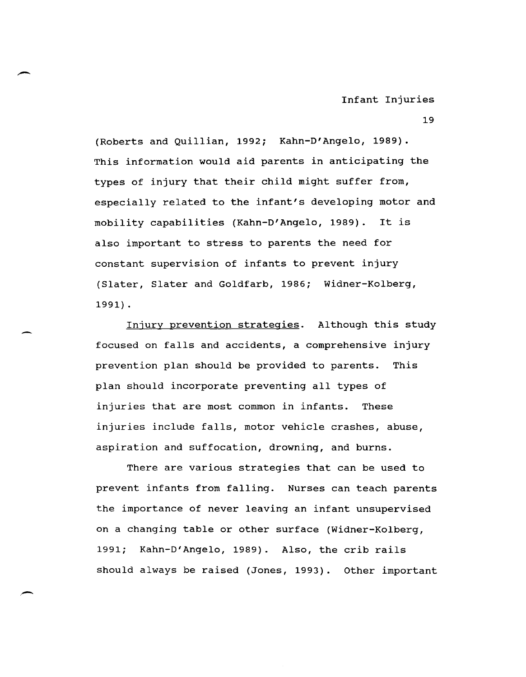19

(Roberts and Quillian, 1992; Kahn-D'Angelo, 1989). This information would aid parents in anticipating the types of injury that their child might suffer from, especially related to the infant's developing motor and mobility capabilities (Kahn-D'Angelo, 1989). It is also important to stress to parents the need for constant supervision of infants to prevent injury (Slater, Slater and Goldfarb, 1986; Widner-Kolberg, 1991) .

Injury prevention strategies. Although this study focused on falls and accidents, a comprehensive injury prevention plan should be provided to parents. This plan should incorporate preventing all types of injuries that are most common in infants. These injuries include falls, motor vehicle crashes, abuse, aspiration and suffocation, drowning, and burns.

There are various strategies that can be used to prevent infants from falling. Nurses can teach parents the importance of never leaving an infant unsupervised on a changing table or other surface (Widner-Kolberg, 1991; Kahn-D'Angelo, 1989). Also, the crib rails should always be raised (Jones, 1993). Other important

-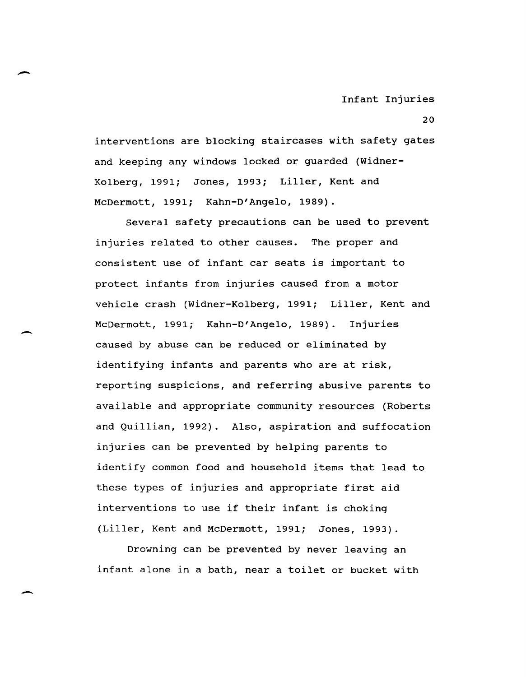interventions are blocking staircases with safety gates and keeping any windows locked or guarded (Widner-Kolberg, 1991; Jones, 1993; Liller, Kent and McDermott, 1991; Kahn-D'Angelo, 1989).

Several safety precautions can be used to prevent injuries related to other causes. The proper and consistent use of infant car seats is important to protect infants from injuries caused from a motor vehicle crash (Widner-Kolberg, 1991; Liller, Kent and McDermott, 1991; Kahn-D'Angelo, 1989). Injuries caused by abuse can be reduced or eliminated by identifying infants and parents who are at risk, reporting suspicions, and referring abusive parents to available and appropriate community resources (Roberts and Quillian, 1992). Also, aspiration and suffocation injuries can be prevented by helping parents to identify common food and household items that lead to these types of injuries and appropriate first aid interventions to use if their infant is choking (Liller, Kent and McDermott, 1991; Jones, 1993).

Drowning can be prevented by never leaving an infant alone in a bath, near a toilet or bucket with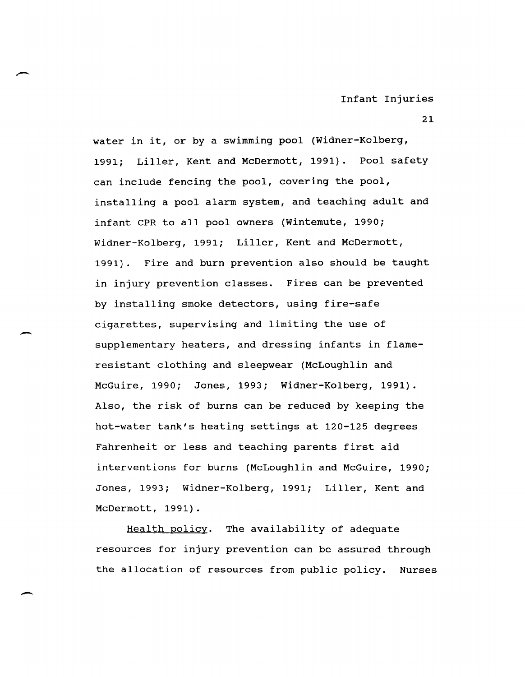water in it, or by a swimming pool (Widner-Kolberg, 1991; Liller, Kent and McDermott, 1991). Pool safety can include fencing the pool, covering the pool, installing a pool alarm system, and teaching adult and infant CPR to all pool owners (Wintemute, 1990; Widner-Kolberg, 1991; Liller, Kent and McDermott, 1991). Fire and burn prevention also should be taught in injury prevention classes. Fires can be prevented by installing smoke detectors, using fire-safe cigarettes, supervising and limiting the use of supplementary heaters, and dressing infants in flameresistant clothing and sleepwear (McLoughlin and McGuire, 1990; Jones, 1993; Widner-Kolberg, 1991). Also, the risk of burns can be reduced by keeping the hot-water tank's heating settings at 120-125 degrees Fahrenheit or less and teaching parents first aid interventions for burns (McLoughlin and McGuire, 1990; Jones, 1993; Widner-Kolberg, 1991; Liller, Kent and McDermott, 1991).

Health policy. The availability of adequate resources for injury prevention can be assured through the allocation of resources from public policy. Nurses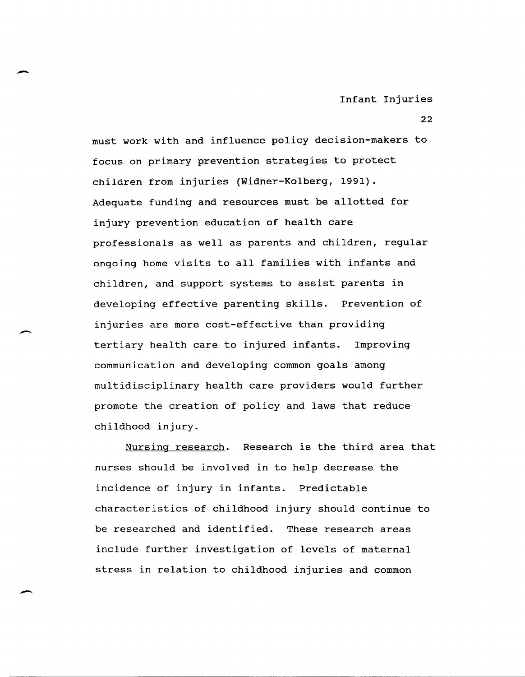22

must work with and influence policy decision-makers to focus on primary prevention strategies to protect children from injuries (Widner-Kolberg, 1991). Adequate funding and resources must be allotted for injury prevention education of health care professionals as well as parents and children, regular ongoing home visits to all families with infants and children, and support systems to assist parents in developing effective parenting skills. Prevention of injuries are more cost-effective than providing tertiary health care to injured infants. Improving communication and developing common goals among multidisciplinary health care providers would further promote the creation of policy and laws that reduce childhood injury.

-

 $\overline{\phantom{a}}$ 

Nursing research. Research is the third area that nurses should be involved in to help decrease the incidence of injury in infants. Predictable characteristics of childhood injury should continue to be researched and identified. These research areas include further investigation of levels of maternal stress in relation to childhood injuries and common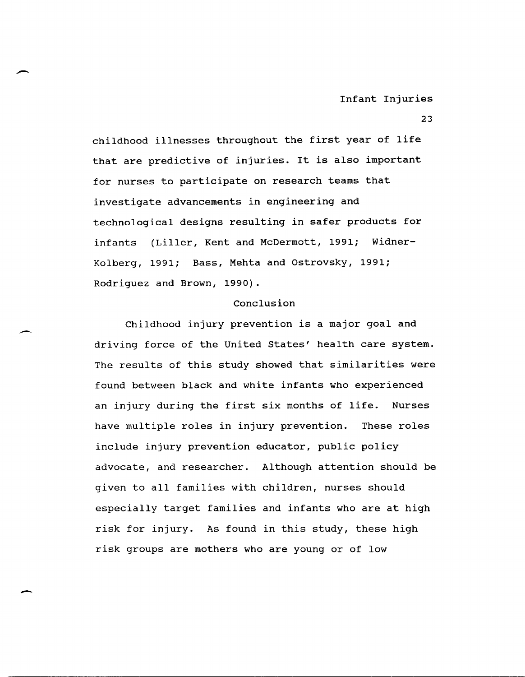23

childhood illnesses throughout the first year of life that are predictive of injuries. It is also important for nurses to participate on research teams that investigate advancements in engineering and technological designs resulting in safer products for infants (Liller, Kent and McDermott, 1991; Widner-Kolberg, 1991; Bass, Mehta and Ostrovsky, 1991; Rodriguez and Brown, 1990).

# Conclusion

Childhood injury prevention is a major goal and driving force of the United states' health care system. The results of this study showed that similarities were found between black and white infants who experienced an injury during the first six months of life. Nurses have multiple roles in injury prevention. These roles include injury prevention educator, public policy advocate, and researcher. Although attention should be given to all families with children, nurses should especially target families and infants who are at high risk for injury. As found in this study, these high risk groups are mothers who are young or of low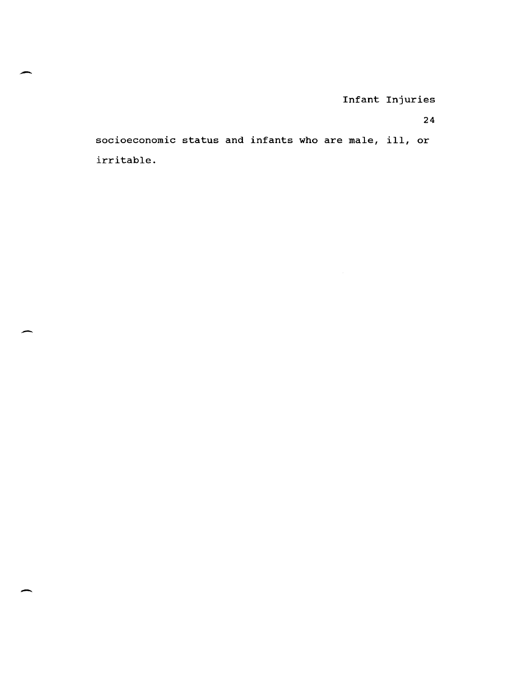24

socioeconomic status and infants who are male, ill, or irritable.

-

--

-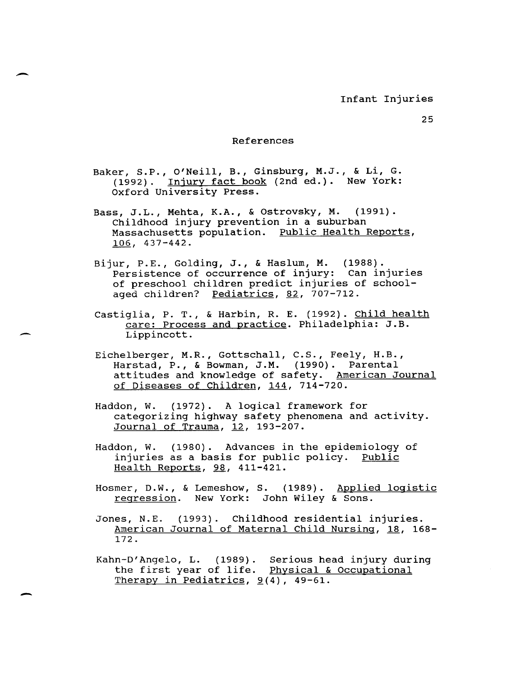#### References

Baker, S.P., o'Neill, B., Ginsburg, M.J., & Li, G. (1992). Injury fact book (2nd ed.). New York: Oxford University Press.

Bass, J.L., Mehta, K.A., & Ostrovsky, **M.** (1991). Childhood injury prevention in a suburban Massachusetts population. Public Health Reports, 106, 437-442.

Bijur, P.E., Golding, J., & Haslum, **M.** (1988). Persistence of occurrence of injury: Can injuries of preschool children predict injuries of schoolaged children? Pediatrics, 82, 707-712.

castiglia, P. T., & Harbin, R. E. (1992). Child health care: Process and practice. Philadelphia: J.B. Lippincott.

Eichelberger, M.R., Gottschall, C.S., Feely, H.B., Harstad, P., & Bowman, J.M. (1990). Parental attitudes and knowledge of safety. American Journal of Diseases of Children, 144, 714-720.

Haddon, W. (1972). A logical framework for categorizing highway safety phenomena and activity. Journal of Trauma, 12, 193-207.

Haddon, W. (1980). Advances in the epidemiology of injuries as a basis for public policy. Public Health Reports, 98, 411-421.

Hosmer, D.W., & Lemeshow, S. (1989). Applied logistic regression. New York: John Wiley & Sons.

Jones, N.E. (1993). Childhood residential injuries. American Journal of Maternal Child Nursing, 18, 168- 172.

Kahn-D'Angelo, L. (1989). Serious head injury during The first year of life. Physical & Occupational Therapy in Pediatrics,  $9(4)$ , 49-61.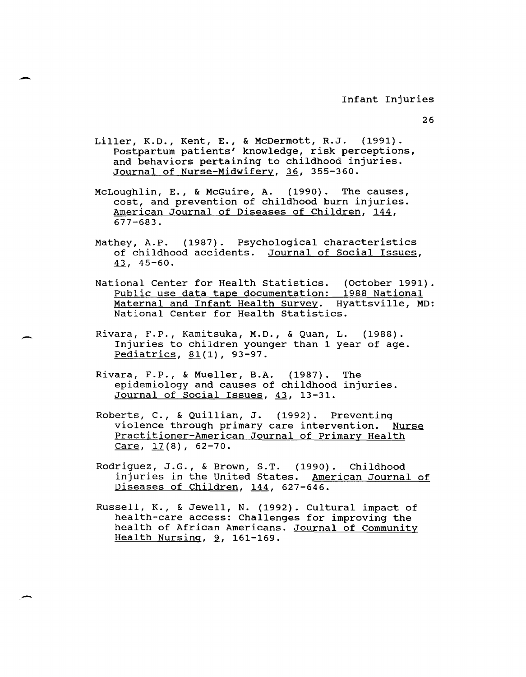- Liller, K.D., Kent, E., & McDermott, R.J. (1991). Postpartum patients' knowledge, risk perceptions, and behaviors pertaining to childhood injuries. Journal of Nurse-Midwifery, 36, 355-360.
- McLoughlin, E., & McGuire, A. (1990). The causes, cost, and prevention of childhood burn injuries. American Journal of Diseases of Children, 144, 677-683.
- Mathey, A.P. (1987). Psychological characteristics of childhood accidents. Journal of Social Issues,  $\frac{43}{7}$ , 45-60.
- National Center for Health statistics. (October 1991). Public use data tape documentation: 1988 National Maternal and Infant Health Survey. Hyattsville, MD: National Center for Health statistics.
- Rivara, F.P., Kamitsuka, M.D., & Quan, L. (1988). Injuries to children younger than 1 year of age. Pediatrics, 81(1), 93-97.
- Rivara, F.P., & Mueller, B.A. (1987). The epidemiology and causes of childhood injuries. Journal of Social Issues, 43, 13-31.
- Roberts, C., & Quillian, J. (1992). Preventing violence through primary care intervention. Nurse Practitioner-American Journal of Primary Health Care,  $17(8)$ , 62-70.
- Rodriguez, J.G., & Brown, S.T. (1990). Childhood injuries in the United States. American Journal of Diseases of Children, 144, 627-646.
- Russell, K., & Jewell, N. (1992). Cultural impact of health-care access: Challenges for improving the health of African Americans. Journal of Community Health Nursing,  $9$ , 161-169.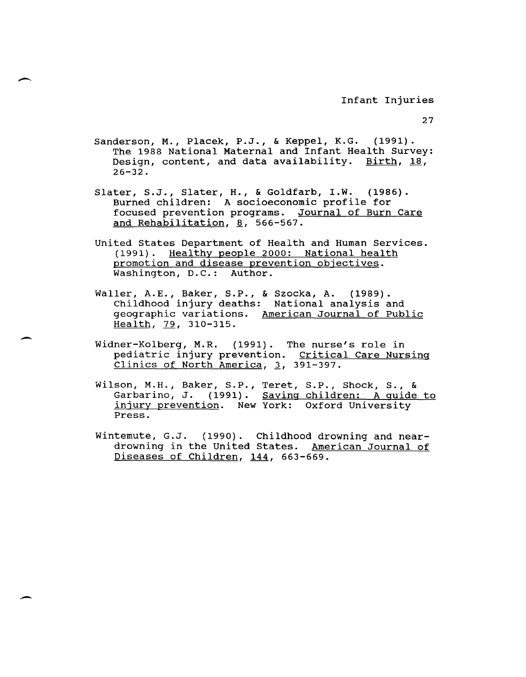Sanderson, M., Placek, P.J., & Keppel, K.G. (1991). The 1988 National Maternal and Infant Health Survey: Design, content, and data availability. Birth, 18, 26-32.

Slater, S.J., Slater, H., & Goldfarb, I.W. (1986). Burned children: A socioeconomic profile for focused prevention programs. Journal of Burn Care and Rehabilitation, 8, 566-567.

- united States Department of Health and Human Services. (1991). Healthy people 2000: National health promotion and disease prevention objectives. Washington, D.C.: Author.
- Waller, A.E., Baker, S.P., & Szocka, A. (1989). Childhood injury deaths: National analysis and geographic variations. American Journal of Public Health, 79, 310-315.
- Widner-Kolberg, M.R. (1991). The nurse's role in pediatric injury prevention. Critical Care Nursing Clinics of North America,  $3$ , 391-397.
- Wilson, M.H., Baker, S.P., Teret, S.P., Shock, S., & Garbarino, J. (1991). Saving children: A quide to injury prevention. New York: Oxford University Press.
- Wintemute, G.J. (1990). Childhood drowning and neardrowning in the United States. American Journal of Diseases of Children, 144, 663-669.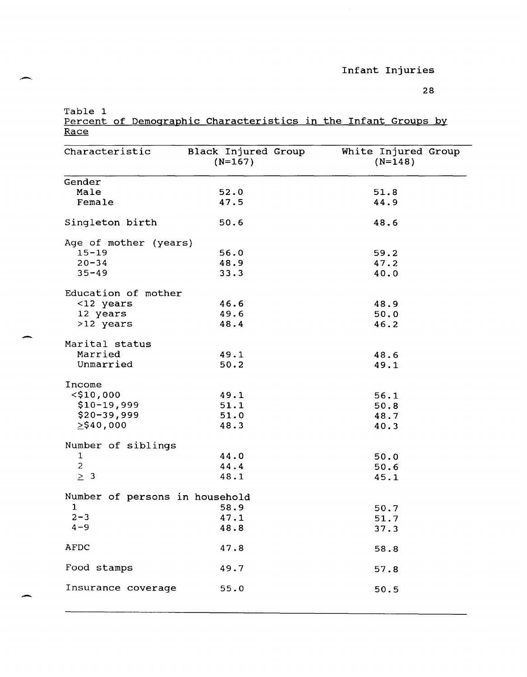28

Table 1

,-

-

Percent of Demographic Characteristics in the Infant Groups by Race

| Characteristic                 | Black Injured Group<br>$(N=167)$ | White Injured Group<br>$(N=148)$ |  |  |
|--------------------------------|----------------------------------|----------------------------------|--|--|
| Gender                         |                                  |                                  |  |  |
| Male                           | 52.0                             | 51.8                             |  |  |
| Female                         | 47.5                             | 44.9                             |  |  |
| Singleton birth                | 50.6                             | 48.6                             |  |  |
| Age of mother (years)          |                                  |                                  |  |  |
| $15 - 19$                      | 56.0                             | 59.2                             |  |  |
| $20 - 34$                      | 48.9                             | 47.2                             |  |  |
| $35 - 49$                      | 33.3                             | 40.0                             |  |  |
| Education of mother            |                                  |                                  |  |  |
| <12 years                      | 46.6                             | 48.9                             |  |  |
| 12 years                       | 49.6                             | 50.0                             |  |  |
| >12 years                      | 48.4                             | 46.2                             |  |  |
| Marital status                 |                                  |                                  |  |  |
| Married                        | 49.1                             | 48.6                             |  |  |
| Unmarried                      | 50.2                             | 49.1                             |  |  |
| Income                         |                                  |                                  |  |  |
| $<$ \$10,000                   | 49.1                             | 56.1                             |  |  |
| $$10-19,999$                   | 51.1                             | 50.8                             |  |  |
| $$20 - 39,999$                 | 51.0                             | 48.7                             |  |  |
| $\geq$ \$40,000                | 48.3                             | 40.3                             |  |  |
| Number of siblings             |                                  |                                  |  |  |
| $\mathbf{1}$                   | 44.0                             | 50.0                             |  |  |
| $\overline{c}$                 | 44.4                             | 50.6                             |  |  |
| $\geq 3$                       | 48.1                             | 45.1                             |  |  |
| Number of persons in household |                                  |                                  |  |  |
| $\mathbf{1}$                   | 58.9                             | 50.7                             |  |  |
| $2 - 3$                        | 47.1                             | 51.7                             |  |  |
| 4–9                            | 48.8                             | 37.3                             |  |  |
| <b>AFDC</b>                    | 47.8                             | 58.8                             |  |  |
| Food stamps                    | 49.7                             | 57.8                             |  |  |
| Insurance coverage             | 55.0                             | 50.5                             |  |  |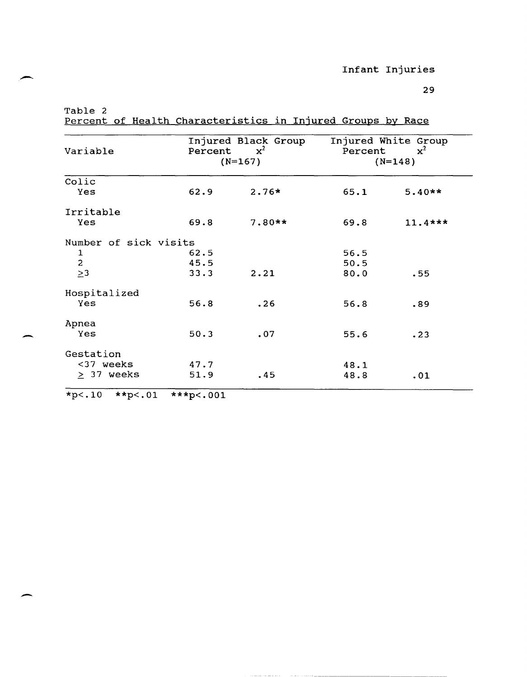29

Table 2

-

-

Percent of Health Characteristics in Injured Groups by Race

| Variable              | Percent | Injured Black Group<br>$\mathbf{x}^2$<br>$(N=167)$ | Injured White Group<br>$\mathbf{x}^2$<br>Percent<br>$(N=148)$ |           |
|-----------------------|---------|----------------------------------------------------|---------------------------------------------------------------|-----------|
|                       |         |                                                    |                                                               |           |
| Colic                 |         |                                                    |                                                               |           |
| Yes                   | 62.9    | $2.76*$                                            | 65.1                                                          | $5.40**$  |
| Irritable             |         |                                                    |                                                               |           |
| Yes                   | 69.8    | $7.80**$                                           | 69.8                                                          | $11.4***$ |
| Number of sick visits |         |                                                    |                                                               |           |
| 1                     | 62.5    |                                                    | 56.5                                                          |           |
| $\overline{c}$        | 45.5    |                                                    | 50.5                                                          |           |
| $\geq$ 3              | 33.3    | 2.21                                               | 80.0                                                          | .55       |
| Hospitalized          |         |                                                    |                                                               |           |
| Yes                   | 56.8    | .26                                                | 56.8                                                          | .89       |
| Apnea                 |         |                                                    |                                                               |           |
| Yes                   | 50.3    | .07                                                | 55.6                                                          | .23       |
| Gestation             |         |                                                    |                                                               |           |
| <37 weeks             | 47.7    |                                                    | 48.1                                                          |           |
| $\geq$ 37 weeks       | 51.9    | .45                                                | 48.8                                                          | .01       |

 $*p<.10$   $*tp<.01$   $**tp<.001$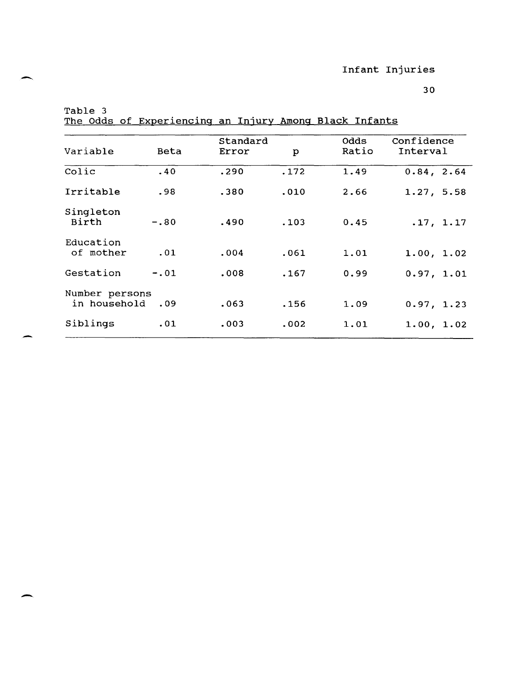--

-

The Odds of Experiencing an Injury Among Black Infants

| Variable                       | Beta   | Standard<br>Error | p    | <b>Odds</b><br>Ratio | Confidence<br>Interval |
|--------------------------------|--------|-------------------|------|----------------------|------------------------|
| Colic                          | .40    | .290              | .172 | 1.49                 | 0.84, 2.64             |
| Irritable                      | .98    | .380              | .010 | 2.66                 | 1.27, 5.58             |
| Singleton<br>Birth             | $-.80$ | .490              | .103 | 0.45                 | .17, 1.17              |
| Education<br>of mother         | .01    | .004              | .061 | 1.01                 | 1.00, 1.02             |
| Gestation                      | $-.01$ | .008              | .167 | 0.99                 | 0.97, 1.01             |
| Number persons<br>in household | .09    | .063              | .156 | 1.09                 | 0.97, 1.23             |
| Siblings                       | .01    | .003              | .002 | 1.01                 | 1.00, 1.02             |